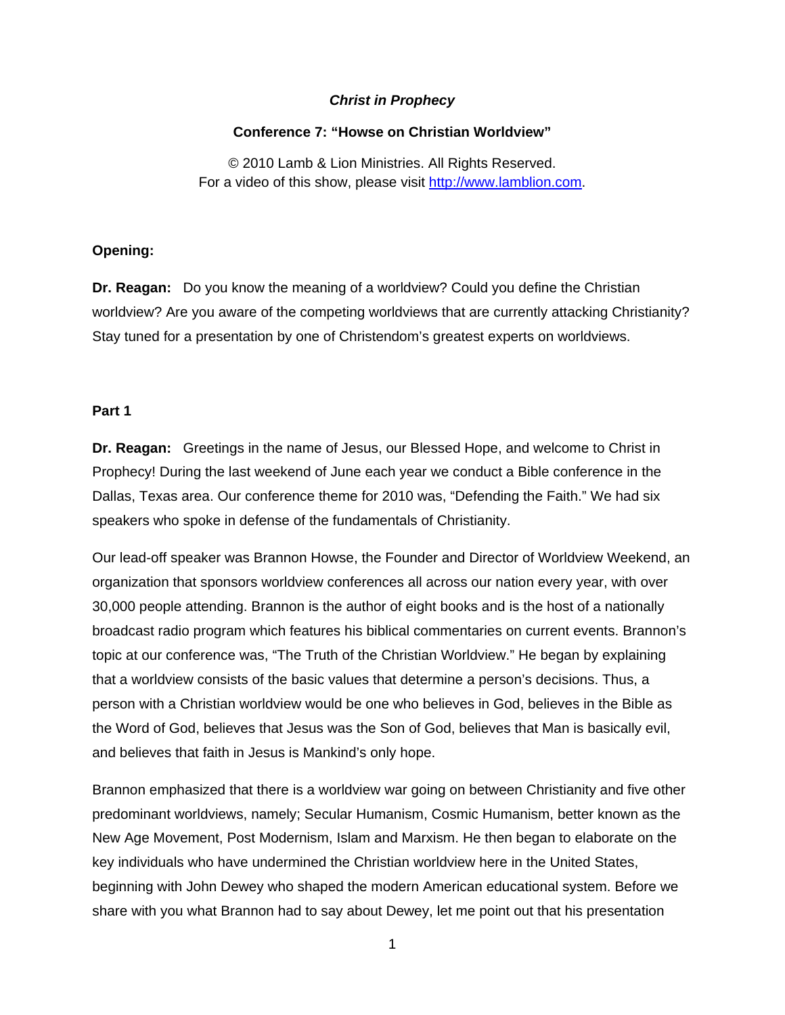## *Christ in Prophecy*

#### **Conference 7: "Howse on Christian Worldview"**

© 2010 Lamb & Lion Ministries. All Rights Reserved. For a video of this show, please visit [http://www.lamblion.com.](http://www.lamblion.com/)

## **Opening:**

**Dr. Reagan:** Do you know the meaning of a worldview? Could you define the Christian worldview? Are you aware of the competing worldviews that are currently attacking Christianity? Stay tuned for a presentation by one of Christendom's greatest experts on worldviews.

#### **Part 1**

**Dr. Reagan:** Greetings in the name of Jesus, our Blessed Hope, and welcome to Christ in Prophecy! During the last weekend of June each year we conduct a Bible conference in the Dallas, Texas area. Our conference theme for 2010 was, "Defending the Faith." We had six speakers who spoke in defense of the fundamentals of Christianity.

Our lead-off speaker was Brannon Howse, the Founder and Director of Worldview Weekend, an organization that sponsors worldview conferences all across our nation every year, with over 30,000 people attending. Brannon is the author of eight books and is the host of a nationally broadcast radio program which features his biblical commentaries on current events. Brannon's topic at our conference was, "The Truth of the Christian Worldview." He began by explaining that a worldview consists of the basic values that determine a person's decisions. Thus, a person with a Christian worldview would be one who believes in God, believes in the Bible as the Word of God, believes that Jesus was the Son of God, believes that Man is basically evil, and believes that faith in Jesus is Mankind's only hope.

Brannon emphasized that there is a worldview war going on between Christianity and five other predominant worldviews, namely; Secular Humanism, Cosmic Humanism, better known as the New Age Movement, Post Modernism, Islam and Marxism. He then began to elaborate on the key individuals who have undermined the Christian worldview here in the United States, beginning with John Dewey who shaped the modern American educational system. Before we share with you what Brannon had to say about Dewey, let me point out that his presentation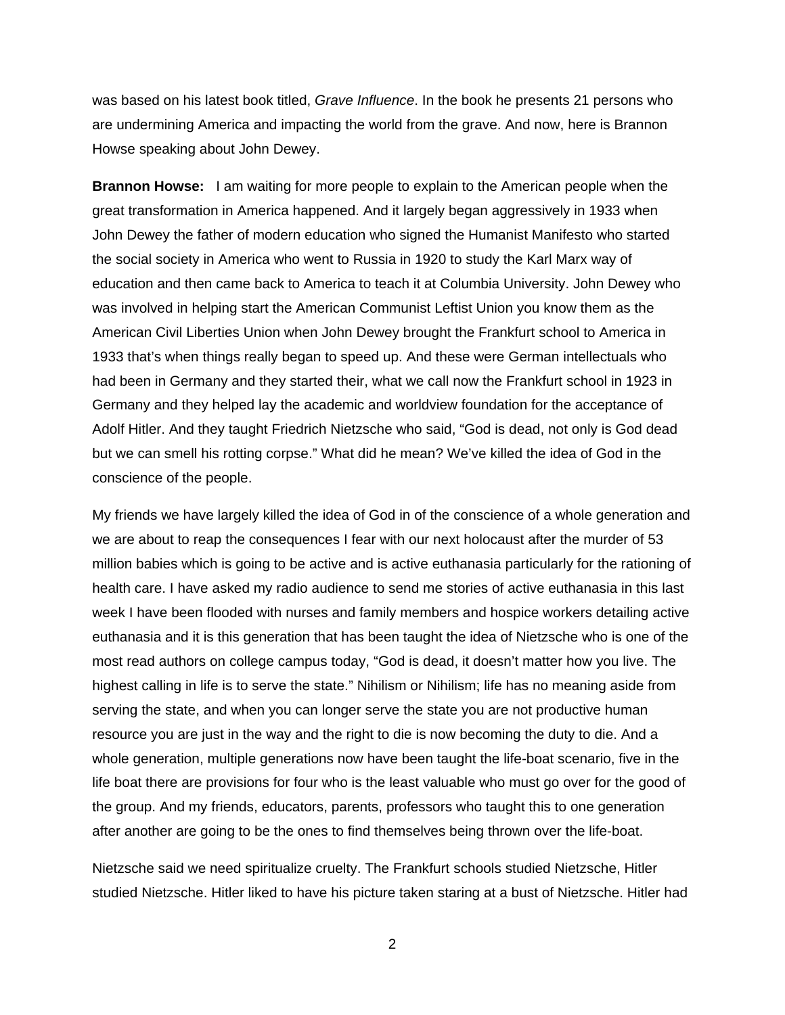was based on his latest book titled, *Grave Influence*. In the book he presents 21 persons who are undermining America and impacting the world from the grave. And now, here is Brannon Howse speaking about John Dewey.

**Brannon Howse:** I am waiting for more people to explain to the American people when the great transformation in America happened. And it largely began aggressively in 1933 when John Dewey the father of modern education who signed the Humanist Manifesto who started the social society in America who went to Russia in 1920 to study the Karl Marx way of education and then came back to America to teach it at Columbia University. John Dewey who was involved in helping start the American Communist Leftist Union you know them as the American Civil Liberties Union when John Dewey brought the Frankfurt school to America in 1933 that's when things really began to speed up. And these were German intellectuals who had been in Germany and they started their, what we call now the Frankfurt school in 1923 in Germany and they helped lay the academic and worldview foundation for the acceptance of Adolf Hitler. And they taught Friedrich Nietzsche who said, "God is dead, not only is God dead but we can smell his rotting corpse." What did he mean? We've killed the idea of God in the conscience of the people.

My friends we have largely killed the idea of God in of the conscience of a whole generation and we are about to reap the consequences I fear with our next holocaust after the murder of 53 million babies which is going to be active and is active euthanasia particularly for the rationing of health care. I have asked my radio audience to send me stories of active euthanasia in this last week I have been flooded with nurses and family members and hospice workers detailing active euthanasia and it is this generation that has been taught the idea of Nietzsche who is one of the most read authors on college campus today, "God is dead, it doesn't matter how you live. The highest calling in life is to serve the state." Nihilism or Nihilism; life has no meaning aside from serving the state, and when you can longer serve the state you are not productive human resource you are just in the way and the right to die is now becoming the duty to die. And a whole generation, multiple generations now have been taught the life-boat scenario, five in the life boat there are provisions for four who is the least valuable who must go over for the good of the group. And my friends, educators, parents, professors who taught this to one generation after another are going to be the ones to find themselves being thrown over the life-boat.

Nietzsche said we need spiritualize cruelty. The Frankfurt schools studied Nietzsche, Hitler studied Nietzsche. Hitler liked to have his picture taken staring at a bust of Nietzsche. Hitler had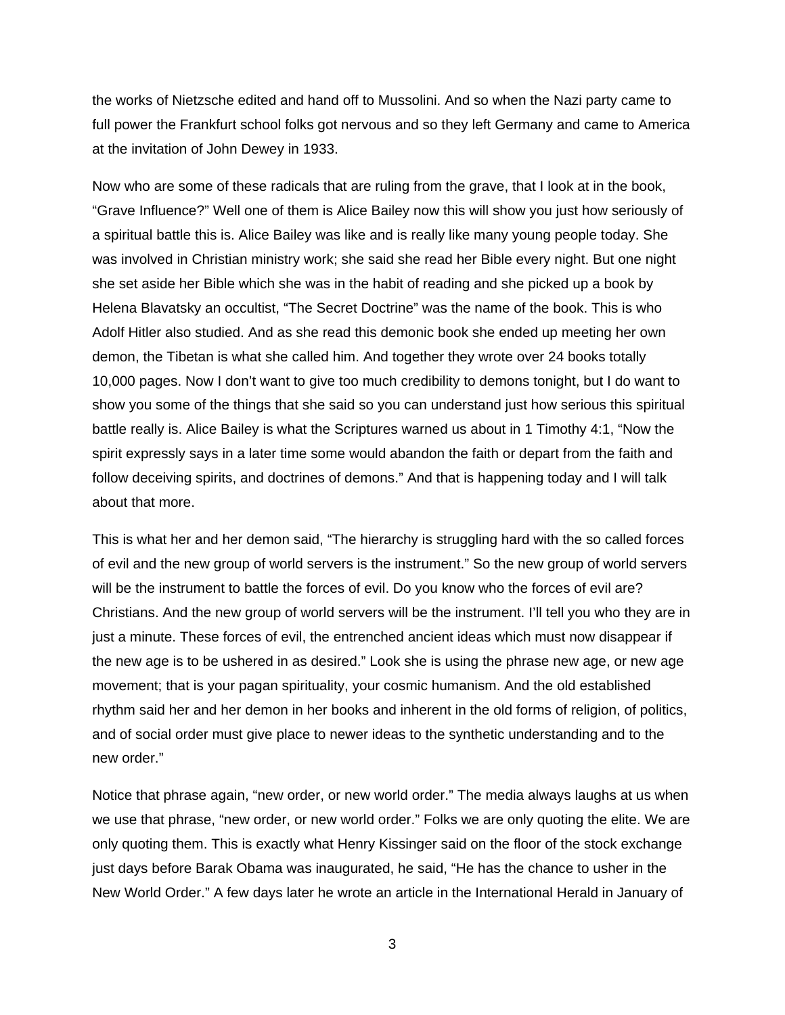the works of Nietzsche edited and hand off to Mussolini. And so when the Nazi party came to full power the Frankfurt school folks got nervous and so they left Germany and came to America at the invitation of John Dewey in 1933.

Now who are some of these radicals that are ruling from the grave, that I look at in the book, "Grave Influence?" Well one of them is Alice Bailey now this will show you just how seriously of a spiritual battle this is. Alice Bailey was like and is really like many young people today. She was involved in Christian ministry work; she said she read her Bible every night. But one night she set aside her Bible which she was in the habit of reading and she picked up a book by Helena Blavatsky an occultist, "The Secret Doctrine" was the name of the book. This is who Adolf Hitler also studied. And as she read this demonic book she ended up meeting her own demon, the Tibetan is what she called him. And together they wrote over 24 books totally 10,000 pages. Now I don't want to give too much credibility to demons tonight, but I do want to show you some of the things that she said so you can understand just how serious this spiritual battle really is. Alice Bailey is what the Scriptures warned us about in 1 Timothy 4:1, "Now the spirit expressly says in a later time some would abandon the faith or depart from the faith and follow deceiving spirits, and doctrines of demons." And that is happening today and I will talk about that more.

This is what her and her demon said, "The hierarchy is struggling hard with the so called forces of evil and the new group of world servers is the instrument." So the new group of world servers will be the instrument to battle the forces of evil. Do you know who the forces of evil are? Christians. And the new group of world servers will be the instrument. I'll tell you who they are in just a minute. These forces of evil, the entrenched ancient ideas which must now disappear if the new age is to be ushered in as desired." Look she is using the phrase new age, or new age movement; that is your pagan spirituality, your cosmic humanism. And the old established rhythm said her and her demon in her books and inherent in the old forms of religion, of politics, and of social order must give place to newer ideas to the synthetic understanding and to the new order."

Notice that phrase again, "new order, or new world order." The media always laughs at us when we use that phrase, "new order, or new world order." Folks we are only quoting the elite. We are only quoting them. This is exactly what Henry Kissinger said on the floor of the stock exchange just days before Barak Obama was inaugurated, he said, "He has the chance to usher in the New World Order." A few days later he wrote an article in the International Herald in January of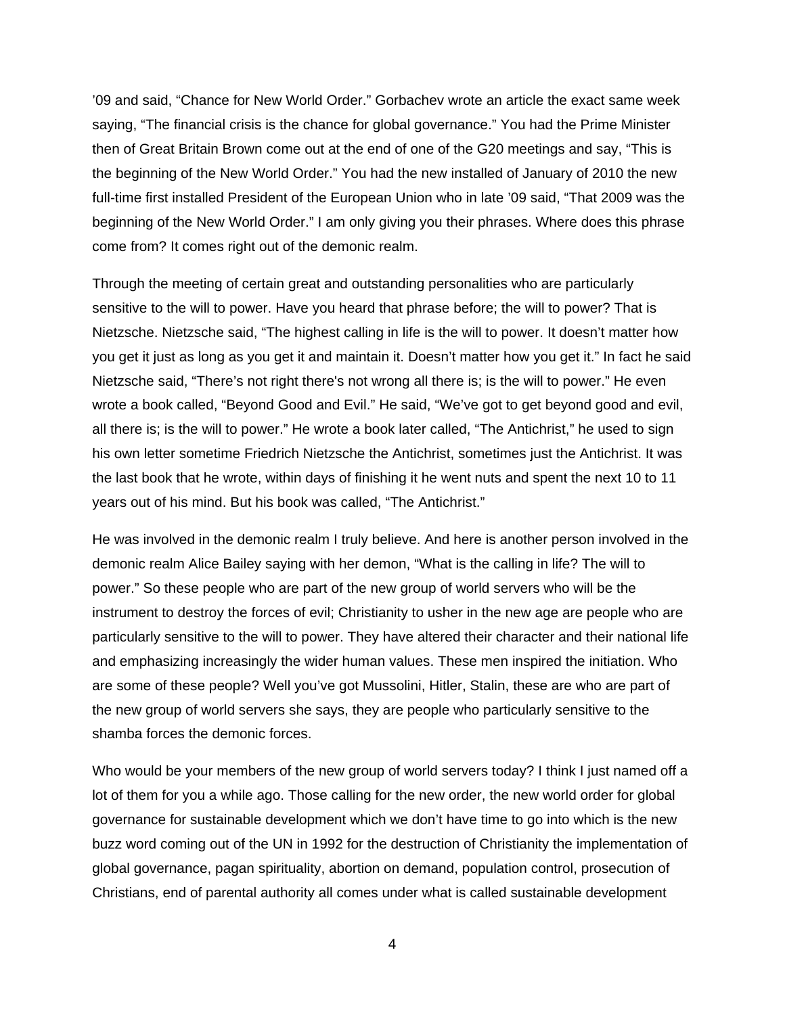'09 and said, "Chance for New World Order." Gorbachev wrote an article the exact same week saying, "The financial crisis is the chance for global governance." You had the Prime Minister then of Great Britain Brown come out at the end of one of the G20 meetings and say, "This is the beginning of the New World Order." You had the new installed of January of 2010 the new full-time first installed President of the European Union who in late '09 said, "That 2009 was the beginning of the New World Order." I am only giving you their phrases. Where does this phrase come from? It comes right out of the demonic realm.

Through the meeting of certain great and outstanding personalities who are particularly sensitive to the will to power. Have you heard that phrase before; the will to power? That is Nietzsche. Nietzsche said, "The highest calling in life is the will to power. It doesn't matter how you get it just as long as you get it and maintain it. Doesn't matter how you get it." In fact he said Nietzsche said, "There's not right there's not wrong all there is; is the will to power." He even wrote a book called, "Beyond Good and Evil." He said, "We've got to get beyond good and evil, all there is; is the will to power." He wrote a book later called, "The Antichrist," he used to sign his own letter sometime Friedrich Nietzsche the Antichrist, sometimes just the Antichrist. It was the last book that he wrote, within days of finishing it he went nuts and spent the next 10 to 11 years out of his mind. But his book was called, "The Antichrist."

He was involved in the demonic realm I truly believe. And here is another person involved in the demonic realm Alice Bailey saying with her demon, "What is the calling in life? The will to power." So these people who are part of the new group of world servers who will be the instrument to destroy the forces of evil; Christianity to usher in the new age are people who are particularly sensitive to the will to power. They have altered their character and their national life and emphasizing increasingly the wider human values. These men inspired the initiation. Who are some of these people? Well you've got Mussolini, Hitler, Stalin, these are who are part of the new group of world servers she says, they are people who particularly sensitive to the shamba forces the demonic forces.

Who would be your members of the new group of world servers today? I think I just named off a lot of them for you a while ago. Those calling for the new order, the new world order for global governance for sustainable development which we don't have time to go into which is the new buzz word coming out of the UN in 1992 for the destruction of Christianity the implementation of global governance, pagan spirituality, abortion on demand, population control, prosecution of Christians, end of parental authority all comes under what is called sustainable development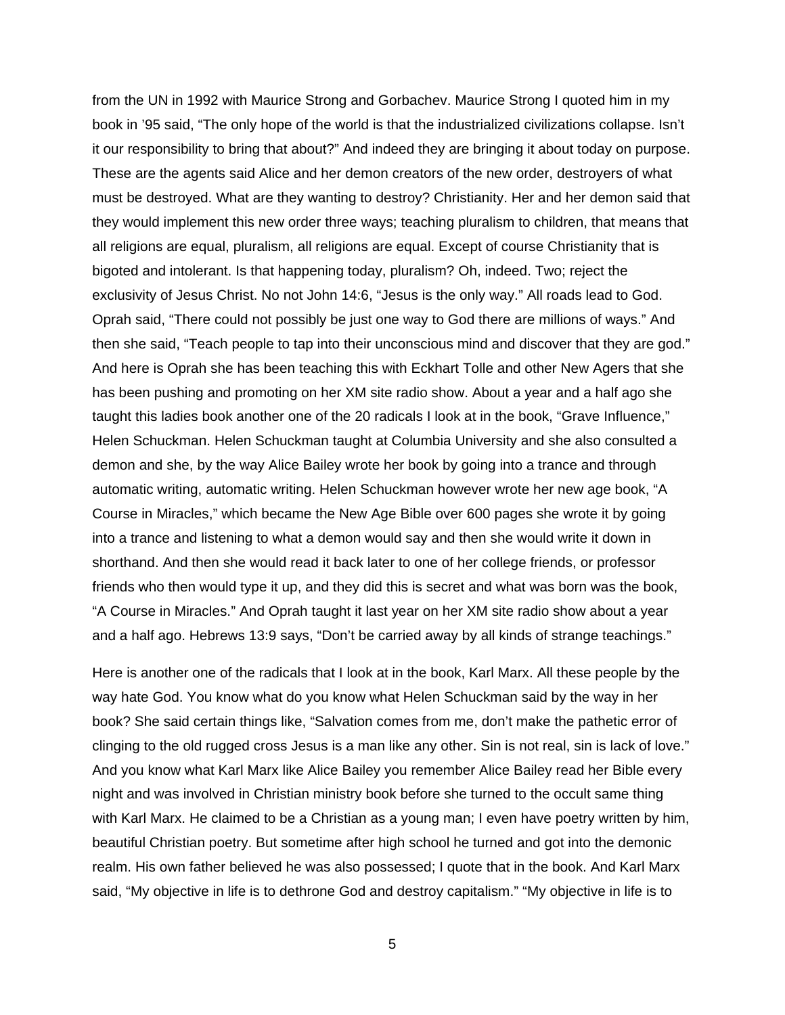from the UN in 1992 with Maurice Strong and Gorbachev. Maurice Strong I quoted him in my book in '95 said, "The only hope of the world is that the industrialized civilizations collapse. Isn't it our responsibility to bring that about?" And indeed they are bringing it about today on purpose. These are the agents said Alice and her demon creators of the new order, destroyers of what must be destroyed. What are they wanting to destroy? Christianity. Her and her demon said that they would implement this new order three ways; teaching pluralism to children, that means that all religions are equal, pluralism, all religions are equal. Except of course Christianity that is bigoted and intolerant. Is that happening today, pluralism? Oh, indeed. Two; reject the exclusivity of Jesus Christ. No not John 14:6, "Jesus is the only way." All roads lead to God. Oprah said, "There could not possibly be just one way to God there are millions of ways." And then she said, "Teach people to tap into their unconscious mind and discover that they are god." And here is Oprah she has been teaching this with Eckhart Tolle and other New Agers that she has been pushing and promoting on her XM site radio show. About a year and a half ago she taught this ladies book another one of the 20 radicals I look at in the book, "Grave Influence," Helen Schuckman. Helen Schuckman taught at Columbia University and she also consulted a demon and she, by the way Alice Bailey wrote her book by going into a trance and through automatic writing, automatic writing. Helen Schuckman however wrote her new age book, "A Course in Miracles," which became the New Age Bible over 600 pages she wrote it by going into a trance and listening to what a demon would say and then she would write it down in shorthand. And then she would read it back later to one of her college friends, or professor friends who then would type it up, and they did this is secret and what was born was the book, "A Course in Miracles." And Oprah taught it last year on her XM site radio show about a year and a half ago. Hebrews 13:9 says, "Don't be carried away by all kinds of strange teachings."

Here is another one of the radicals that I look at in the book, Karl Marx. All these people by the way hate God. You know what do you know what Helen Schuckman said by the way in her book? She said certain things like, "Salvation comes from me, don't make the pathetic error of clinging to the old rugged cross Jesus is a man like any other. Sin is not real, sin is lack of love." And you know what Karl Marx like Alice Bailey you remember Alice Bailey read her Bible every night and was involved in Christian ministry book before she turned to the occult same thing with Karl Marx. He claimed to be a Christian as a young man; I even have poetry written by him, beautiful Christian poetry. But sometime after high school he turned and got into the demonic realm. His own father believed he was also possessed; I quote that in the book. And Karl Marx said, "My objective in life is to dethrone God and destroy capitalism." "My objective in life is to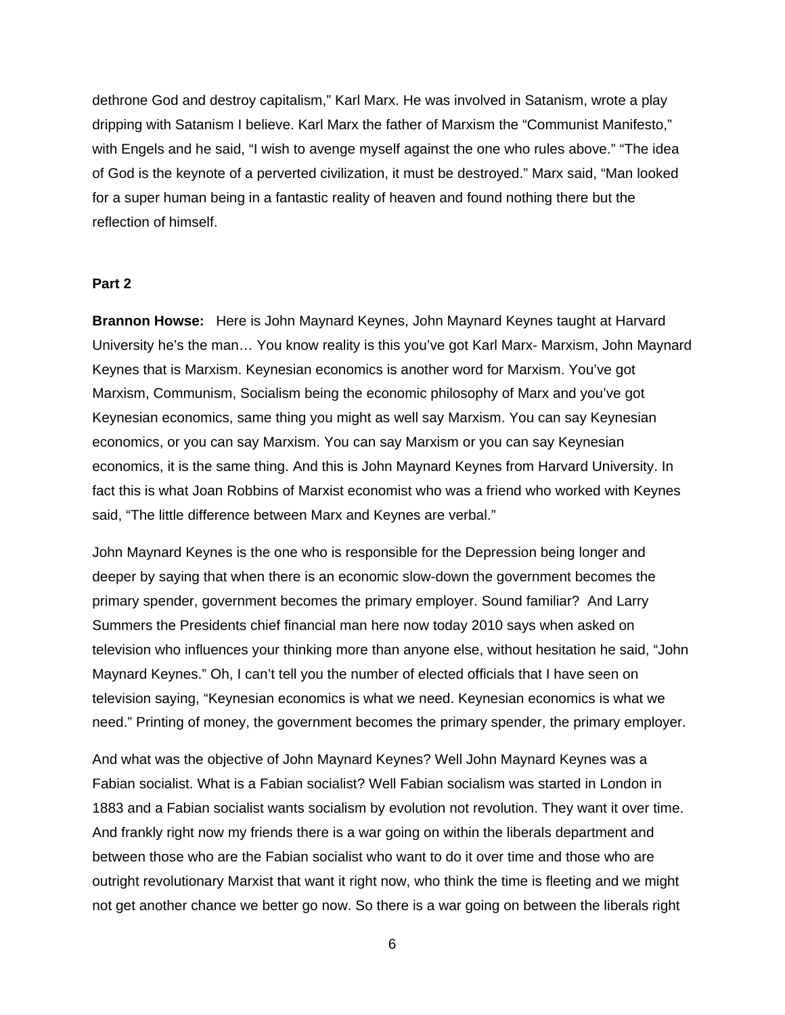dethrone God and destroy capitalism," Karl Marx. He was involved in Satanism, wrote a play dripping with Satanism I believe. Karl Marx the father of Marxism the "Communist Manifesto," with Engels and he said, "I wish to avenge myself against the one who rules above." "The idea of God is the keynote of a perverted civilization, it must be destroyed." Marx said, "Man looked for a super human being in a fantastic reality of heaven and found nothing there but the reflection of himself.

## **Part 2**

**Brannon Howse:** Here is John Maynard Keynes, John Maynard Keynes taught at Harvard University he's the man… You know reality is this you've got Karl Marx- Marxism, John Maynard Keynes that is Marxism. Keynesian economics is another word for Marxism. You've got Marxism, Communism, Socialism being the economic philosophy of Marx and you've got Keynesian economics, same thing you might as well say Marxism. You can say Keynesian economics, or you can say Marxism. You can say Marxism or you can say Keynesian economics, it is the same thing. And this is John Maynard Keynes from Harvard University. In fact this is what Joan Robbins of Marxist economist who was a friend who worked with Keynes said, "The little difference between Marx and Keynes are verbal."

John Maynard Keynes is the one who is responsible for the Depression being longer and deeper by saying that when there is an economic slow-down the government becomes the primary spender, government becomes the primary employer. Sound familiar? And Larry Summers the Presidents chief financial man here now today 2010 says when asked on television who influences your thinking more than anyone else, without hesitation he said, "John Maynard Keynes." Oh, I can't tell you the number of elected officials that I have seen on television saying, "Keynesian economics is what we need. Keynesian economics is what we need." Printing of money, the government becomes the primary spender, the primary employer.

And what was the objective of John Maynard Keynes? Well John Maynard Keynes was a Fabian socialist. What is a Fabian socialist? Well Fabian socialism was started in London in 1883 and a Fabian socialist wants socialism by evolution not revolution. They want it over time. And frankly right now my friends there is a war going on within the liberals department and between those who are the Fabian socialist who want to do it over time and those who are outright revolutionary Marxist that want it right now, who think the time is fleeting and we might not get another chance we better go now. So there is a war going on between the liberals right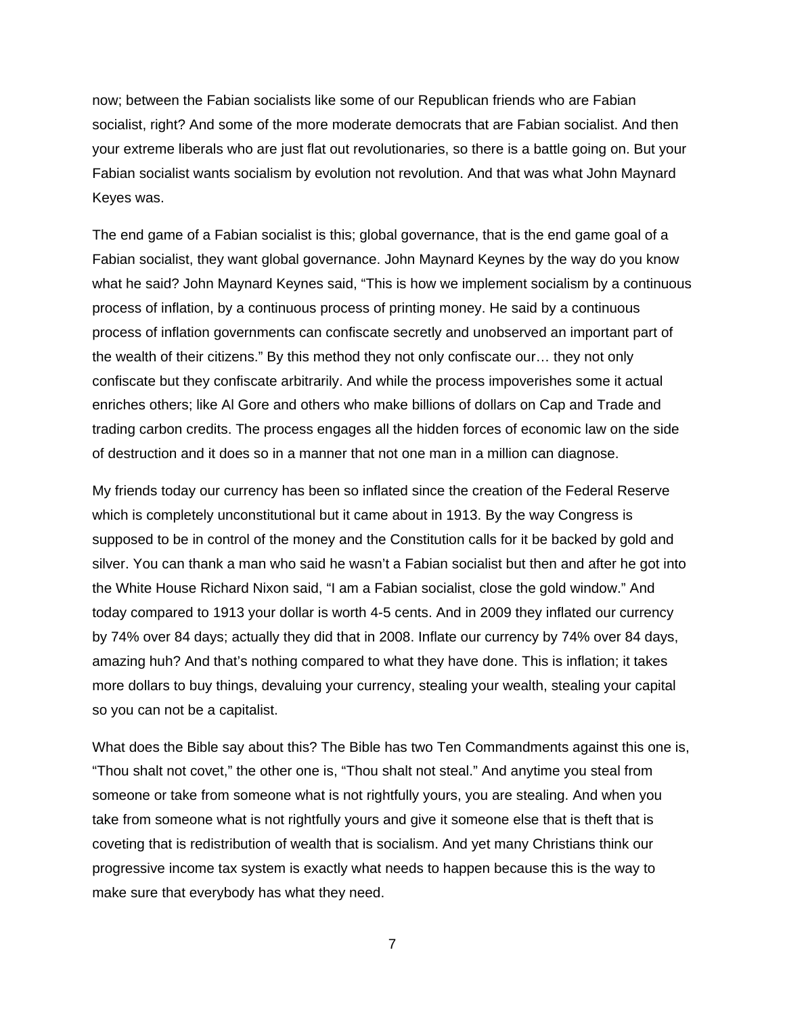now; between the Fabian socialists like some of our Republican friends who are Fabian socialist, right? And some of the more moderate democrats that are Fabian socialist. And then your extreme liberals who are just flat out revolutionaries, so there is a battle going on. But your Fabian socialist wants socialism by evolution not revolution. And that was what John Maynard Keyes was.

The end game of a Fabian socialist is this; global governance, that is the end game goal of a Fabian socialist, they want global governance. John Maynard Keynes by the way do you know what he said? John Maynard Keynes said, "This is how we implement socialism by a continuous process of inflation, by a continuous process of printing money. He said by a continuous process of inflation governments can confiscate secretly and unobserved an important part of the wealth of their citizens." By this method they not only confiscate our… they not only confiscate but they confiscate arbitrarily. And while the process impoverishes some it actual enriches others; like Al Gore and others who make billions of dollars on Cap and Trade and trading carbon credits. The process engages all the hidden forces of economic law on the side of destruction and it does so in a manner that not one man in a million can diagnose.

My friends today our currency has been so inflated since the creation of the Federal Reserve which is completely unconstitutional but it came about in 1913. By the way Congress is supposed to be in control of the money and the Constitution calls for it be backed by gold and silver. You can thank a man who said he wasn't a Fabian socialist but then and after he got into the White House Richard Nixon said, "I am a Fabian socialist, close the gold window." And today compared to 1913 your dollar is worth 4-5 cents. And in 2009 they inflated our currency by 74% over 84 days; actually they did that in 2008. Inflate our currency by 74% over 84 days, amazing huh? And that's nothing compared to what they have done. This is inflation; it takes more dollars to buy things, devaluing your currency, stealing your wealth, stealing your capital so you can not be a capitalist.

What does the Bible say about this? The Bible has two Ten Commandments against this one is, "Thou shalt not covet," the other one is, "Thou shalt not steal." And anytime you steal from someone or take from someone what is not rightfully yours, you are stealing. And when you take from someone what is not rightfully yours and give it someone else that is theft that is coveting that is redistribution of wealth that is socialism. And yet many Christians think our progressive income tax system is exactly what needs to happen because this is the way to make sure that everybody has what they need.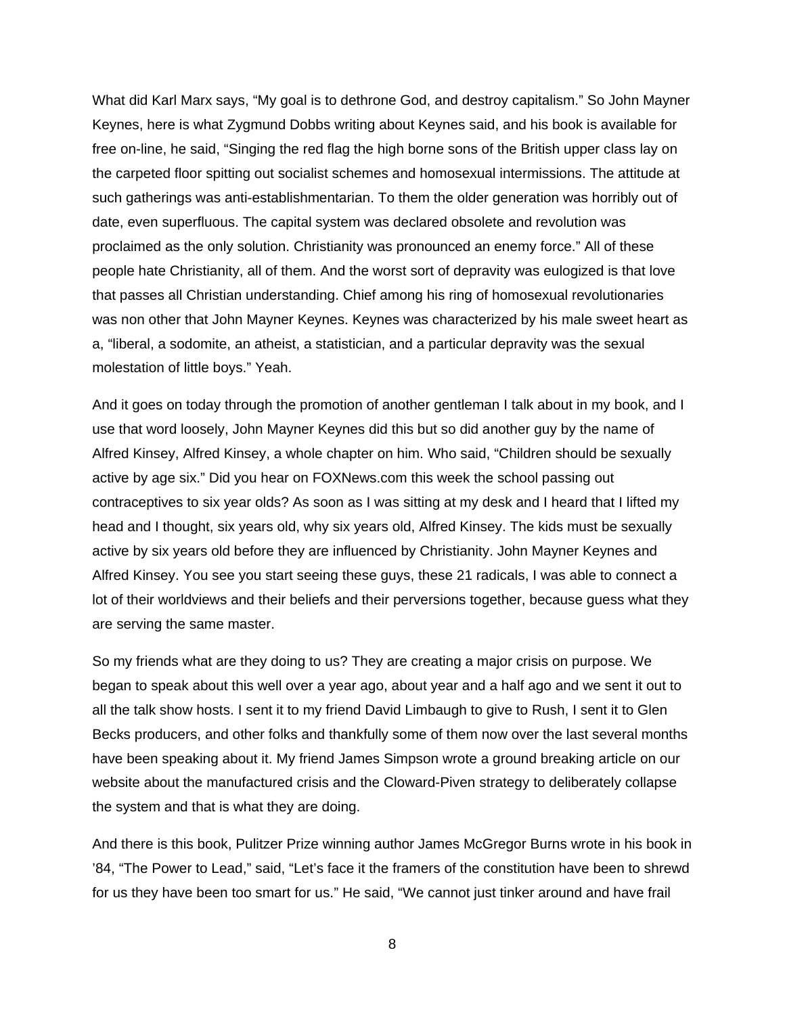What did Karl Marx says, "My goal is to dethrone God, and destroy capitalism." So John Mayner Keynes, here is what Zygmund Dobbs writing about Keynes said, and his book is available for free on-line, he said, "Singing the red flag the high borne sons of the British upper class lay on the carpeted floor spitting out socialist schemes and homosexual intermissions. The attitude at such gatherings was anti-establishmentarian. To them the older generation was horribly out of date, even superfluous. The capital system was declared obsolete and revolution was proclaimed as the only solution. Christianity was pronounced an enemy force." All of these people hate Christianity, all of them. And the worst sort of depravity was eulogized is that love that passes all Christian understanding. Chief among his ring of homosexual revolutionaries was non other that John Mayner Keynes. Keynes was characterized by his male sweet heart as a, "liberal, a sodomite, an atheist, a statistician, and a particular depravity was the sexual molestation of little boys." Yeah.

And it goes on today through the promotion of another gentleman I talk about in my book, and I use that word loosely, John Mayner Keynes did this but so did another guy by the name of Alfred Kinsey, Alfred Kinsey, a whole chapter on him. Who said, "Children should be sexually active by age six." Did you hear on FOXNews.com this week the school passing out contraceptives to six year olds? As soon as I was sitting at my desk and I heard that I lifted my head and I thought, six years old, why six years old, Alfred Kinsey. The kids must be sexually active by six years old before they are influenced by Christianity. John Mayner Keynes and Alfred Kinsey. You see you start seeing these guys, these 21 radicals, I was able to connect a lot of their worldviews and their beliefs and their perversions together, because guess what they are serving the same master.

So my friends what are they doing to us? They are creating a major crisis on purpose. We began to speak about this well over a year ago, about year and a half ago and we sent it out to all the talk show hosts. I sent it to my friend David Limbaugh to give to Rush, I sent it to Glen Becks producers, and other folks and thankfully some of them now over the last several months have been speaking about it. My friend James Simpson wrote a ground breaking article on our website about the manufactured crisis and the Cloward-Piven strategy to deliberately collapse the system and that is what they are doing.

And there is this book, Pulitzer Prize winning author James McGregor Burns wrote in his book in '84, "The Power to Lead," said, "Let's face it the framers of the constitution have been to shrewd for us they have been too smart for us." He said, "We cannot just tinker around and have frail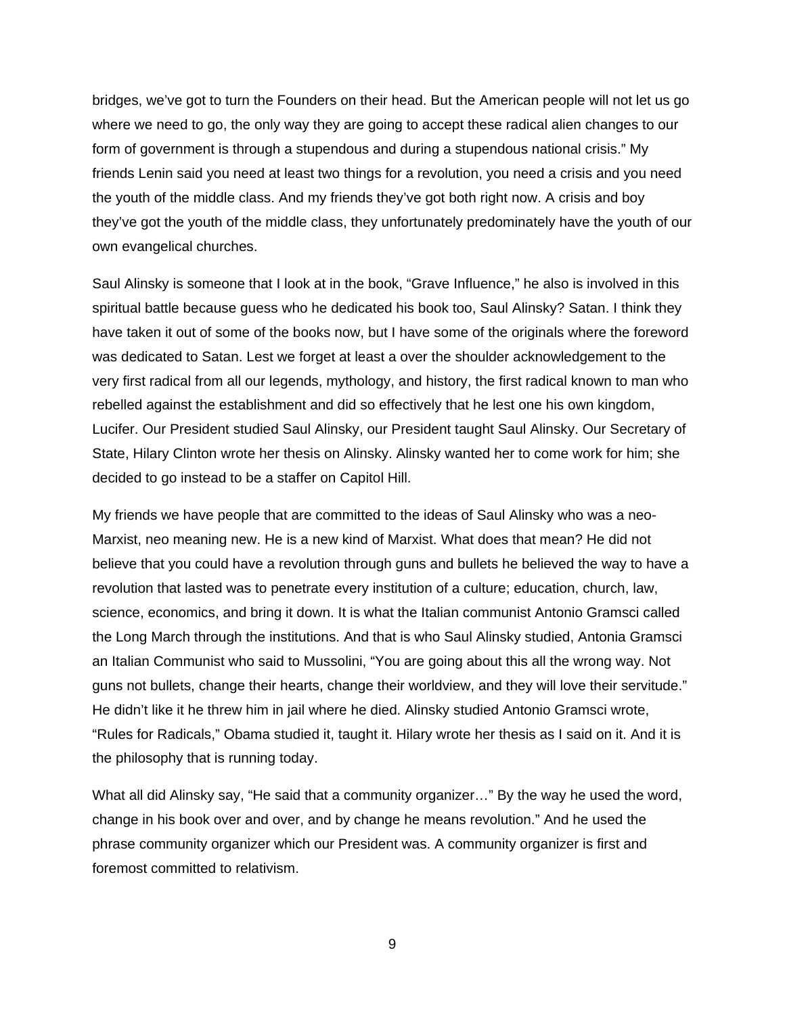bridges, we've got to turn the Founders on their head. But the American people will not let us go where we need to go, the only way they are going to accept these radical alien changes to our form of government is through a stupendous and during a stupendous national crisis." My friends Lenin said you need at least two things for a revolution, you need a crisis and you need the youth of the middle class. And my friends they've got both right now. A crisis and boy they've got the youth of the middle class, they unfortunately predominately have the youth of our own evangelical churches.

Saul Alinsky is someone that I look at in the book, "Grave Influence," he also is involved in this spiritual battle because guess who he dedicated his book too, Saul Alinsky? Satan. I think they have taken it out of some of the books now, but I have some of the originals where the foreword was dedicated to Satan. Lest we forget at least a over the shoulder acknowledgement to the very first radical from all our legends, mythology, and history, the first radical known to man who rebelled against the establishment and did so effectively that he lest one his own kingdom, Lucifer. Our President studied Saul Alinsky, our President taught Saul Alinsky. Our Secretary of State, Hilary Clinton wrote her thesis on Alinsky. Alinsky wanted her to come work for him; she decided to go instead to be a staffer on Capitol Hill.

My friends we have people that are committed to the ideas of Saul Alinsky who was a neo-Marxist, neo meaning new. He is a new kind of Marxist. What does that mean? He did not believe that you could have a revolution through guns and bullets he believed the way to have a revolution that lasted was to penetrate every institution of a culture; education, church, law, science, economics, and bring it down. It is what the Italian communist Antonio Gramsci called the Long March through the institutions. And that is who Saul Alinsky studied, Antonia Gramsci an Italian Communist who said to Mussolini, "You are going about this all the wrong way. Not guns not bullets, change their hearts, change their worldview, and they will love their servitude." He didn't like it he threw him in jail where he died. Alinsky studied Antonio Gramsci wrote, "Rules for Radicals," Obama studied it, taught it. Hilary wrote her thesis as I said on it. And it is the philosophy that is running today.

What all did Alinsky say, "He said that a community organizer…" By the way he used the word, change in his book over and over, and by change he means revolution." And he used the phrase community organizer which our President was. A community organizer is first and foremost committed to relativism.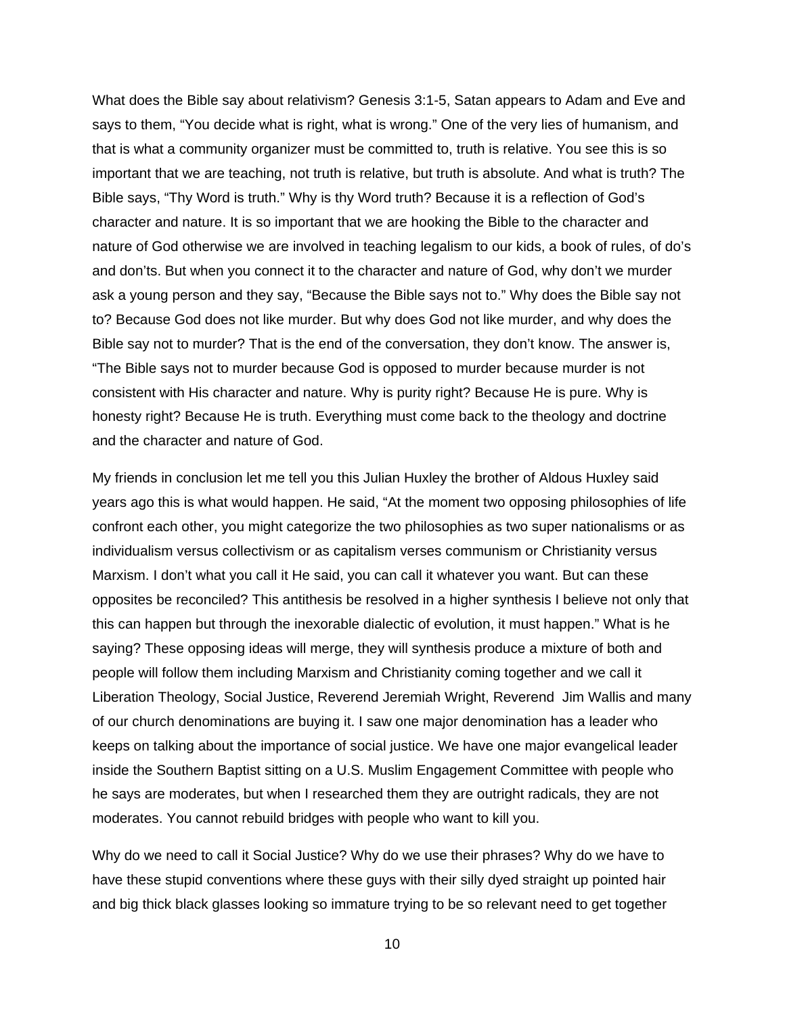What does the Bible say about relativism? Genesis 3:1-5, Satan appears to Adam and Eve and says to them, "You decide what is right, what is wrong." One of the very lies of humanism, and that is what a community organizer must be committed to, truth is relative. You see this is so important that we are teaching, not truth is relative, but truth is absolute. And what is truth? The Bible says, "Thy Word is truth." Why is thy Word truth? Because it is a reflection of God's character and nature. It is so important that we are hooking the Bible to the character and nature of God otherwise we are involved in teaching legalism to our kids, a book of rules, of do's and don'ts. But when you connect it to the character and nature of God, why don't we murder ask a young person and they say, "Because the Bible says not to." Why does the Bible say not to? Because God does not like murder. But why does God not like murder, and why does the Bible say not to murder? That is the end of the conversation, they don't know. The answer is, "The Bible says not to murder because God is opposed to murder because murder is not consistent with His character and nature. Why is purity right? Because He is pure. Why is honesty right? Because He is truth. Everything must come back to the theology and doctrine and the character and nature of God.

My friends in conclusion let me tell you this Julian Huxley the brother of Aldous Huxley said years ago this is what would happen. He said, "At the moment two opposing philosophies of life confront each other, you might categorize the two philosophies as two super nationalisms or as individualism versus collectivism or as capitalism verses communism or Christianity versus Marxism. I don't what you call it He said, you can call it whatever you want. But can these opposites be reconciled? This antithesis be resolved in a higher synthesis I believe not only that this can happen but through the inexorable dialectic of evolution, it must happen." What is he saying? These opposing ideas will merge, they will synthesis produce a mixture of both and people will follow them including Marxism and Christianity coming together and we call it Liberation Theology, Social Justice, Reverend Jeremiah Wright, Reverend Jim Wallis and many of our church denominations are buying it. I saw one major denomination has a leader who keeps on talking about the importance of social justice. We have one major evangelical leader inside the Southern Baptist sitting on a U.S. Muslim Engagement Committee with people who he says are moderates, but when I researched them they are outright radicals, they are not moderates. You cannot rebuild bridges with people who want to kill you.

Why do we need to call it Social Justice? Why do we use their phrases? Why do we have to have these stupid conventions where these guys with their silly dyed straight up pointed hair and big thick black glasses looking so immature trying to be so relevant need to get together